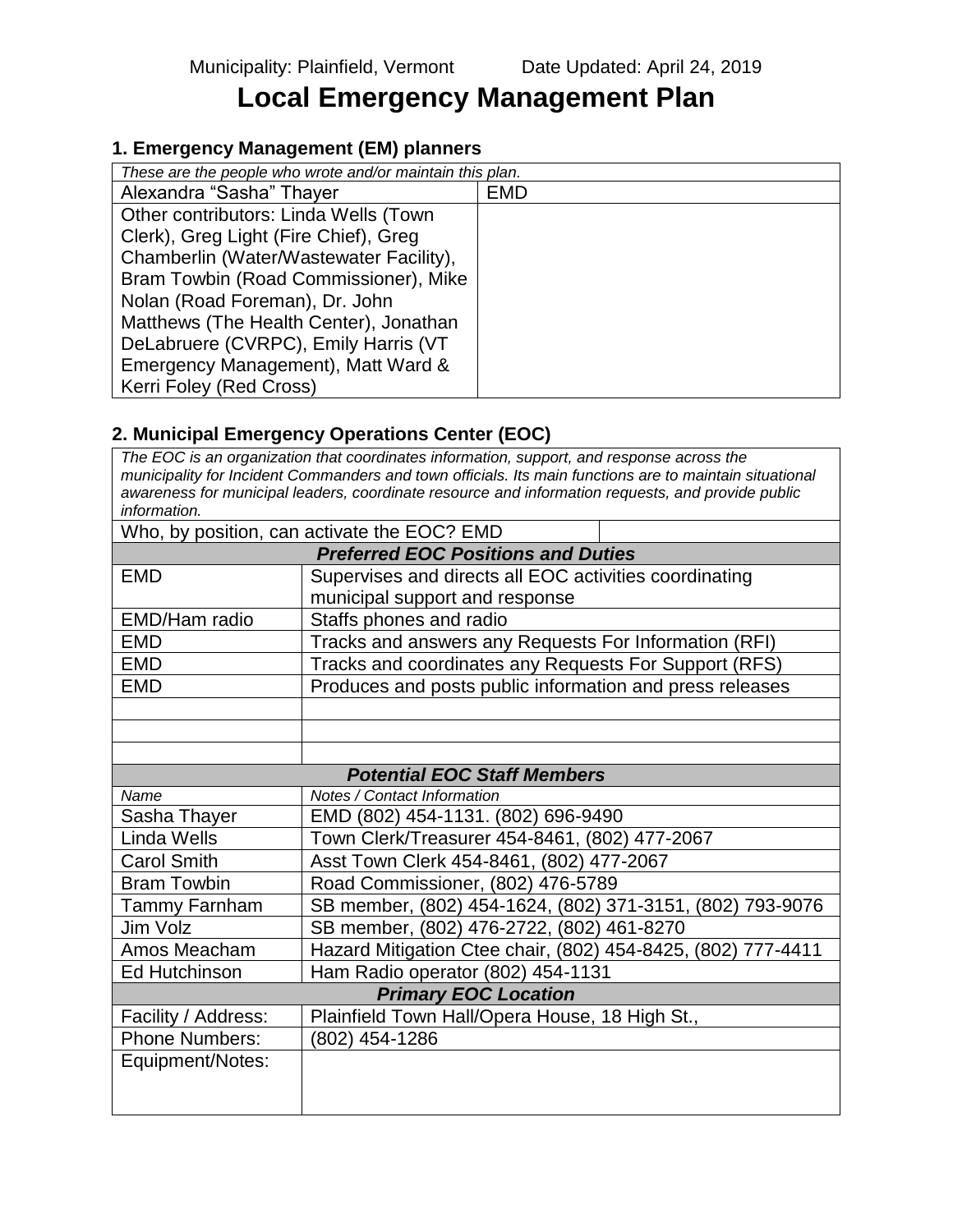# **Local Emergency Management Plan**

## **1. Emergency Management (EM) planners**

| These are the people who wrote and/or maintain this plan. |            |  |  |  |
|-----------------------------------------------------------|------------|--|--|--|
| Alexandra "Sasha" Thayer                                  | <b>EMD</b> |  |  |  |
| Other contributors: Linda Wells (Town                     |            |  |  |  |
| Clerk), Greg Light (Fire Chief), Greg                     |            |  |  |  |
| Chamberlin (Water/Wastewater Facility),                   |            |  |  |  |
| Bram Towbin (Road Commissioner), Mike                     |            |  |  |  |
| Nolan (Road Foreman), Dr. John                            |            |  |  |  |
| Matthews (The Health Center), Jonathan                    |            |  |  |  |
| DeLabruere (CVRPC), Emily Harris (VT                      |            |  |  |  |
| Emergency Management), Matt Ward &                        |            |  |  |  |
| Kerri Foley (Red Cross)                                   |            |  |  |  |

## **2. Municipal Emergency Operations Center (EOC)**

*The EOC is an organization that coordinates information, support, and response across the municipality for Incident Commanders and town officials. Its main functions are to maintain situational awareness for municipal leaders, coordinate resource and information requests, and provide public information.*

|                                           | Who, by position, can activate the EOC? EMD                  |  |  |  |  |
|-------------------------------------------|--------------------------------------------------------------|--|--|--|--|
| <b>Preferred EOC Positions and Duties</b> |                                                              |  |  |  |  |
| <b>EMD</b>                                | Supervises and directs all EOC activities coordinating       |  |  |  |  |
|                                           | municipal support and response                               |  |  |  |  |
| EMD/Ham radio                             | Staffs phones and radio                                      |  |  |  |  |
| <b>EMD</b>                                | Tracks and answers any Requests For Information (RFI)        |  |  |  |  |
| <b>EMD</b>                                | Tracks and coordinates any Requests For Support (RFS)        |  |  |  |  |
| <b>EMD</b>                                | Produces and posts public information and press releases     |  |  |  |  |
|                                           |                                                              |  |  |  |  |
|                                           |                                                              |  |  |  |  |
|                                           |                                                              |  |  |  |  |
|                                           | <b>Potential EOC Staff Members</b>                           |  |  |  |  |
| Name                                      | Notes / Contact Information                                  |  |  |  |  |
| Sasha Thayer                              | EMD (802) 454-1131. (802) 696-9490                           |  |  |  |  |
| Linda Wells                               | Town Clerk/Treasurer 454-8461, (802) 477-2067                |  |  |  |  |
| <b>Carol Smith</b>                        | Asst Town Clerk 454-8461, (802) 477-2067                     |  |  |  |  |
| <b>Bram Towbin</b>                        | Road Commissioner, (802) 476-5789                            |  |  |  |  |
| Tammy Farnham                             | SB member, (802) 454-1624, (802) 371-3151, (802) 793-9076    |  |  |  |  |
| Jim Volz                                  | SB member, (802) 476-2722, (802) 461-8270                    |  |  |  |  |
| Amos Meacham                              | Hazard Mitigation Ctee chair, (802) 454-8425, (802) 777-4411 |  |  |  |  |
| <b>Ed Hutchinson</b>                      | Ham Radio operator (802) 454-1131                            |  |  |  |  |
|                                           | <b>Primary EOC Location</b>                                  |  |  |  |  |
| Facility / Address:                       | Plainfield Town Hall/Opera House, 18 High St.,               |  |  |  |  |
| <b>Phone Numbers:</b>                     | (802) 454-1286                                               |  |  |  |  |
| Equipment/Notes:                          |                                                              |  |  |  |  |
|                                           |                                                              |  |  |  |  |
|                                           |                                                              |  |  |  |  |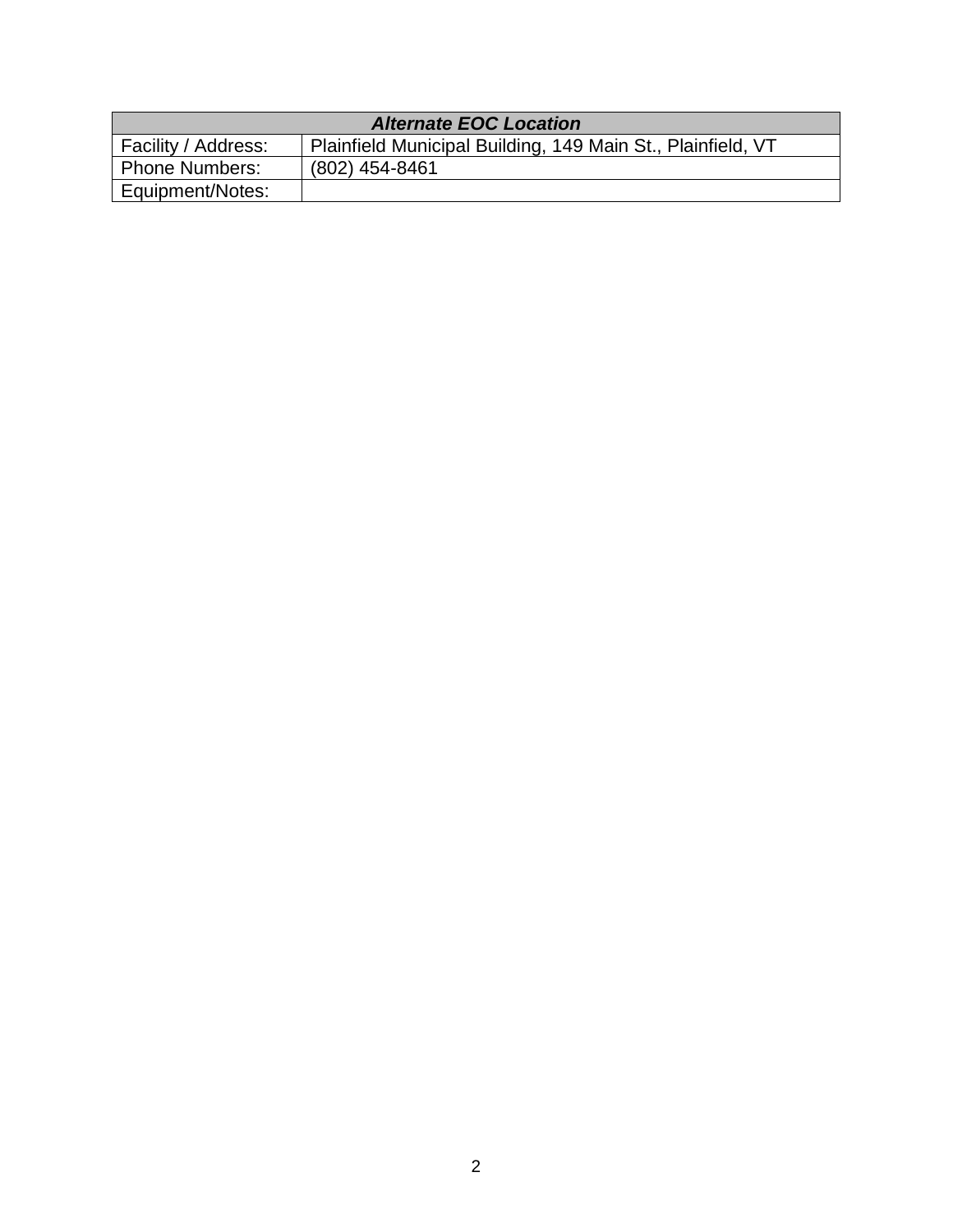| <b>Alternate EOC Location</b> |                                                             |  |  |  |  |  |
|-------------------------------|-------------------------------------------------------------|--|--|--|--|--|
| Facility / Address:           | Plainfield Municipal Building, 149 Main St., Plainfield, VT |  |  |  |  |  |
| <b>Phone Numbers:</b>         | (802) 454-8461                                              |  |  |  |  |  |
| Equipment/Notes:              |                                                             |  |  |  |  |  |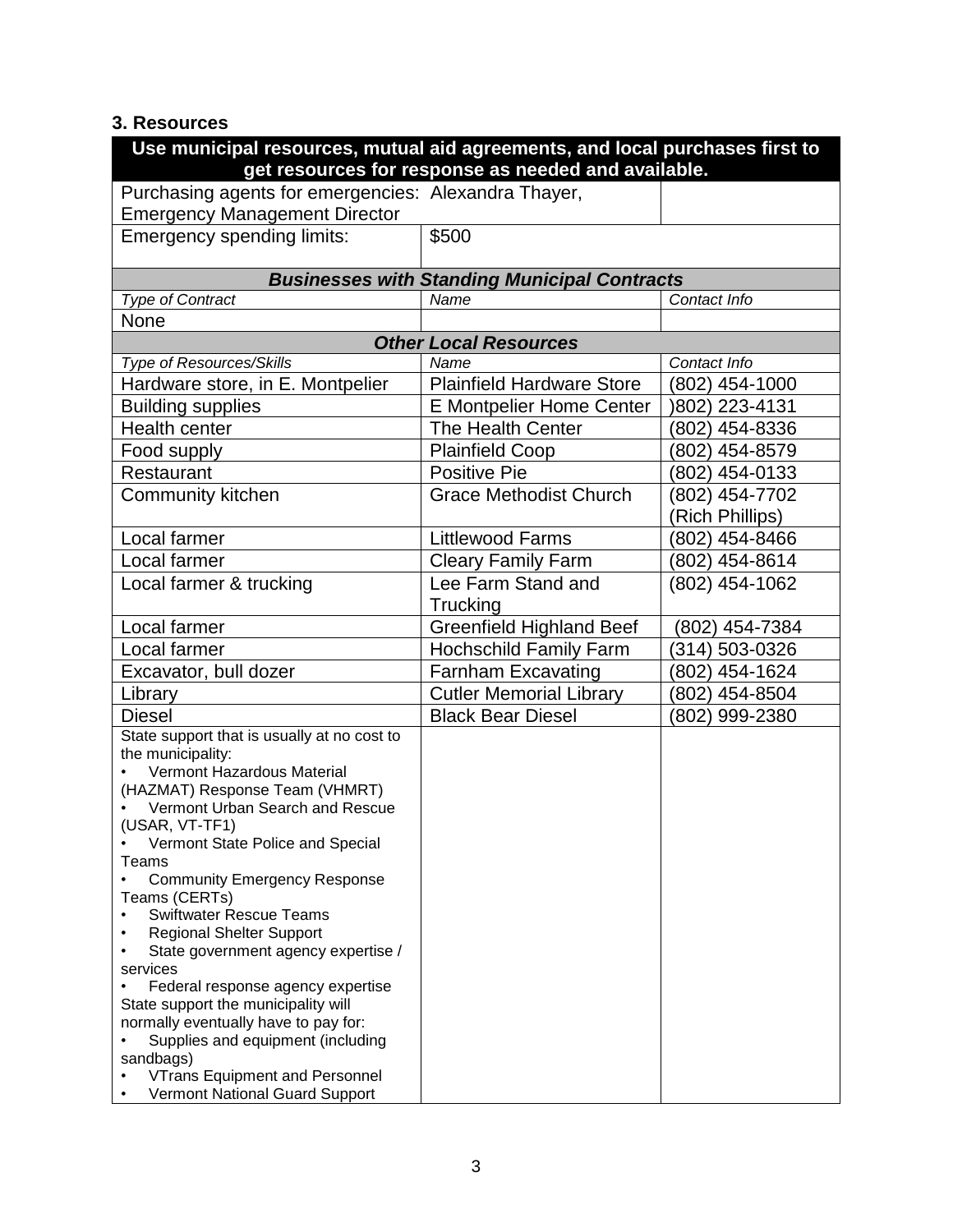# **3. Resources**

| Use municipal resources, mutual aid agreements, and local purchases first to                                |                                  |                       |  |  |  |  |  |  |
|-------------------------------------------------------------------------------------------------------------|----------------------------------|-----------------------|--|--|--|--|--|--|
| get resources for response as needed and available.<br>Purchasing agents for emergencies: Alexandra Thayer, |                                  |                       |  |  |  |  |  |  |
|                                                                                                             |                                  |                       |  |  |  |  |  |  |
| <b>Emergency Management Director</b><br>\$500                                                               |                                  |                       |  |  |  |  |  |  |
| Emergency spending limits:                                                                                  |                                  |                       |  |  |  |  |  |  |
| <b>Businesses with Standing Municipal Contracts</b>                                                         |                                  |                       |  |  |  |  |  |  |
| <b>Type of Contract</b>                                                                                     | Name                             | Contact Info          |  |  |  |  |  |  |
| None                                                                                                        |                                  |                       |  |  |  |  |  |  |
| <b>Other Local Resources</b>                                                                                |                                  |                       |  |  |  |  |  |  |
| <b>Type of Resources/Skills</b>                                                                             | Name                             | Contact Info          |  |  |  |  |  |  |
| Hardware store, in E. Montpelier                                                                            | <b>Plainfield Hardware Store</b> | (802) 454-1000        |  |  |  |  |  |  |
| <b>Building supplies</b>                                                                                    | <b>E Montpelier Home Center</b>  | 802) 223-4131         |  |  |  |  |  |  |
| Health center                                                                                               | The Health Center                | 802) 454-8336         |  |  |  |  |  |  |
| Food supply                                                                                                 | <b>Plainfield Coop</b>           | (802) 454-8579        |  |  |  |  |  |  |
| Restaurant                                                                                                  | <b>Positive Pie</b>              | (802) 454-0133        |  |  |  |  |  |  |
| <b>Community kitchen</b>                                                                                    | <b>Grace Methodist Church</b>    | (802) 454-7702        |  |  |  |  |  |  |
|                                                                                                             |                                  | <b>Rich Phillips)</b> |  |  |  |  |  |  |
| Local farmer                                                                                                | <b>Littlewood Farms</b>          | (802) 454-8466        |  |  |  |  |  |  |
| Local farmer                                                                                                | <b>Cleary Family Farm</b>        | (802) 454-8614        |  |  |  |  |  |  |
| Local farmer & trucking                                                                                     | Lee Farm Stand and               | (802) 454-1062        |  |  |  |  |  |  |
|                                                                                                             | Trucking                         |                       |  |  |  |  |  |  |
| Local farmer                                                                                                | <b>Greenfield Highland Beef</b>  | (802) 454-7384        |  |  |  |  |  |  |
| Local farmer                                                                                                | <b>Hochschild Family Farm</b>    | (314) 503-0326        |  |  |  |  |  |  |
| Excavator, bull dozer                                                                                       | <b>Farnham Excavating</b>        | (802) 454-1624        |  |  |  |  |  |  |
| Library                                                                                                     | <b>Cutler Memorial Library</b>   | (802) 454-8504        |  |  |  |  |  |  |
| <b>Diesel</b>                                                                                               | <b>Black Bear Diesel</b>         | (802) 999-2380        |  |  |  |  |  |  |
| State support that is usually at no cost to                                                                 |                                  |                       |  |  |  |  |  |  |
| the municipality:                                                                                           |                                  |                       |  |  |  |  |  |  |
| Vermont Hazardous Material                                                                                  |                                  |                       |  |  |  |  |  |  |
| (HAZMAT) Response Team (VHMRT)<br>Vermont Urban Search and Rescue                                           |                                  |                       |  |  |  |  |  |  |
| (USAR, VT-TF1)                                                                                              |                                  |                       |  |  |  |  |  |  |
| Vermont State Police and Special                                                                            |                                  |                       |  |  |  |  |  |  |
| Teams                                                                                                       |                                  |                       |  |  |  |  |  |  |
| <b>Community Emergency Response</b>                                                                         |                                  |                       |  |  |  |  |  |  |
| Teams (CERTs)                                                                                               |                                  |                       |  |  |  |  |  |  |
| <b>Swiftwater Rescue Teams</b><br><b>Regional Shelter Support</b>                                           |                                  |                       |  |  |  |  |  |  |
| State government agency expertise /                                                                         |                                  |                       |  |  |  |  |  |  |
| services                                                                                                    |                                  |                       |  |  |  |  |  |  |
| Federal response agency expertise                                                                           |                                  |                       |  |  |  |  |  |  |
| State support the municipality will                                                                         |                                  |                       |  |  |  |  |  |  |
| normally eventually have to pay for:                                                                        |                                  |                       |  |  |  |  |  |  |
| Supplies and equipment (including                                                                           |                                  |                       |  |  |  |  |  |  |
| sandbags)                                                                                                   |                                  |                       |  |  |  |  |  |  |
| <b>VTrans Equipment and Personnel</b><br>Vermont National Guard Support                                     |                                  |                       |  |  |  |  |  |  |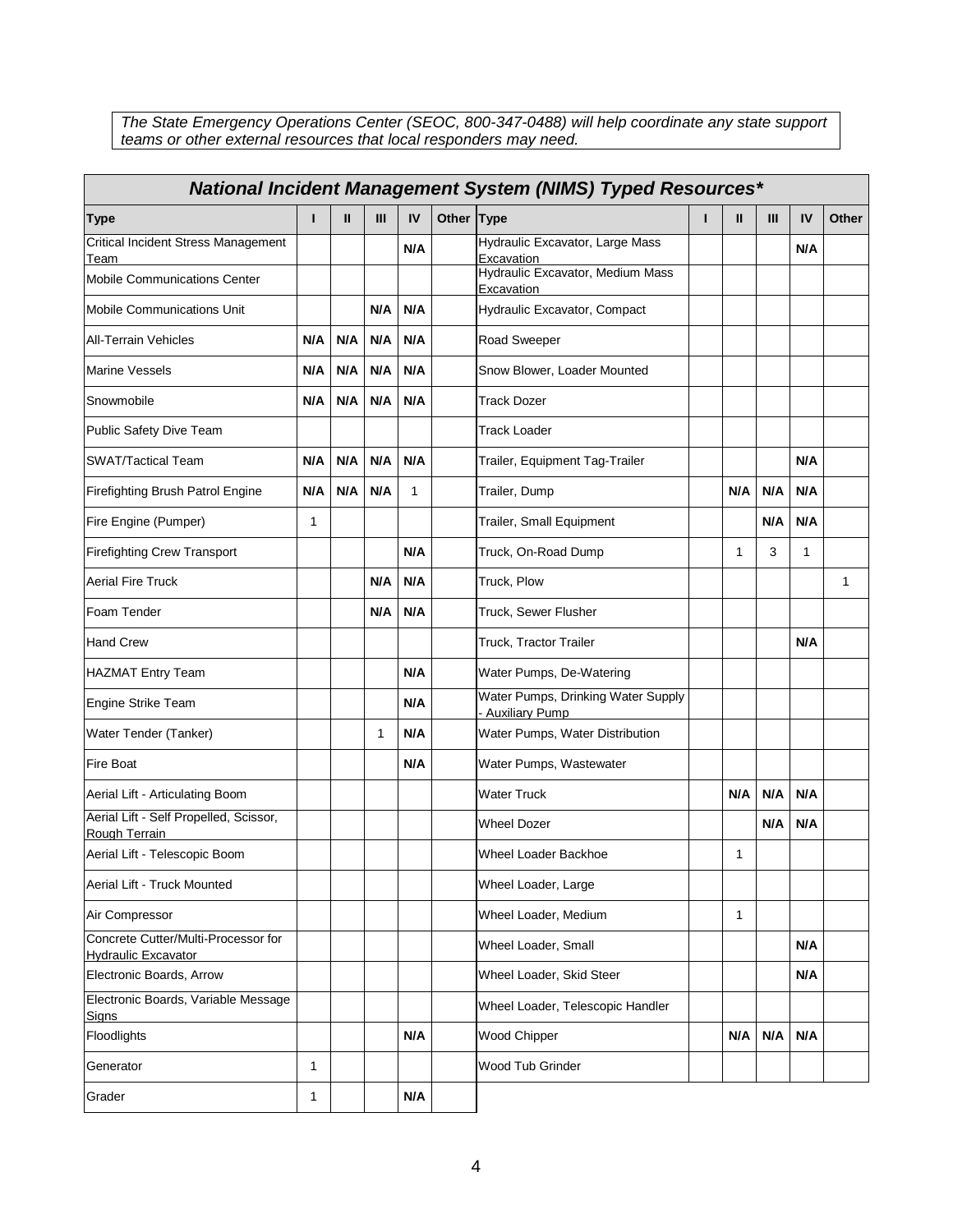*The State Emergency Operations Center (SEOC, 800-347-0488) will help coordinate any state support teams or other external resources that local responders may need.*

| <b>National Incident Management System (NIMS) Typed Resources*</b> |              |     |     |     |            |                                                        |   |     |     |     |       |
|--------------------------------------------------------------------|--------------|-----|-----|-----|------------|--------------------------------------------------------|---|-----|-----|-----|-------|
| <b>Type</b>                                                        |              | Ш   | Ш   | IV  | Other Type |                                                        | п | Ш   | Ш   | IV  | Other |
| Critical Incident Stress Management<br>Team                        |              |     |     | N/A |            | Hydraulic Excavator, Large Mass<br>Excavation          |   |     |     | N/A |       |
| Mobile Communications Center                                       |              |     |     |     |            | Hydraulic Excavator, Medium Mass<br>Excavation         |   |     |     |     |       |
| Mobile Communications Unit                                         |              |     | N/A | N/A |            | Hydraulic Excavator, Compact                           |   |     |     |     |       |
| <b>All-Terrain Vehicles</b>                                        | N/A          | N/A | N/A | N/A |            | <b>Road Sweeper</b>                                    |   |     |     |     |       |
| <b>Marine Vessels</b>                                              | N/A          | N/A | N/A | N/A |            | Snow Blower, Loader Mounted                            |   |     |     |     |       |
| Snowmobile                                                         | N/A          | N/A | N/A | N/A |            | <b>Track Dozer</b>                                     |   |     |     |     |       |
| Public Safety Dive Team                                            |              |     |     |     |            | <b>Track Loader</b>                                    |   |     |     |     |       |
| <b>SWAT/Tactical Team</b>                                          | N/A          | N/A | N/A | N/A |            | Trailer, Equipment Tag-Trailer                         |   |     |     | N/A |       |
| Firefighting Brush Patrol Engine                                   | N/A          | N/A | N/A | 1   |            | Trailer, Dump                                          |   | N/A | N/A | N/A |       |
| Fire Engine (Pumper)                                               | 1            |     |     |     |            | Trailer, Small Equipment                               |   |     | N/A | N/A |       |
| <b>Firefighting Crew Transport</b>                                 |              |     |     | N/A |            | Truck, On-Road Dump                                    |   | 1   | 3   | 1   |       |
| <b>Aerial Fire Truck</b>                                           |              |     | N/A | N/A |            | Truck, Plow                                            |   |     |     |     | 1     |
| Foam Tender                                                        |              |     | N/A | N/A |            | Truck, Sewer Flusher                                   |   |     |     |     |       |
| <b>Hand Crew</b>                                                   |              |     |     |     |            | Truck, Tractor Trailer                                 |   |     |     | N/A |       |
| <b>HAZMAT Entry Team</b>                                           |              |     |     | N/A |            | Water Pumps, De-Watering                               |   |     |     |     |       |
| Engine Strike Team                                                 |              |     |     | N/A |            | Water Pumps, Drinking Water Supply<br>- Auxiliary Pump |   |     |     |     |       |
| Water Tender (Tanker)                                              |              |     | 1   | N/A |            | Water Pumps, Water Distribution                        |   |     |     |     |       |
| Fire Boat                                                          |              |     |     | N/A |            | Water Pumps, Wastewater                                |   |     |     |     |       |
| Aerial Lift - Articulating Boom                                    |              |     |     |     |            | <b>Water Truck</b>                                     |   | N/A | N/A | N/A |       |
| Aerial Lift - Self Propelled, Scissor,<br>Rough Terrain            |              |     |     |     |            | <b>Wheel Dozer</b>                                     |   |     | N/A | N/A |       |
| Aerial Lift - Telescopic Boom                                      |              |     |     |     |            | Wheel Loader Backhoe                                   |   | 1   |     |     |       |
| Aerial Lift - Truck Mounted                                        |              |     |     |     |            | Wheel Loader, Large                                    |   |     |     |     |       |
| Air Compressor                                                     |              |     |     |     |            | Wheel Loader, Medium                                   |   | 1   |     |     |       |
| Concrete Cutter/Multi-Processor for<br><b>Hydraulic Excavator</b>  |              |     |     |     |            | Wheel Loader, Small<br>N/A                             |   |     |     |     |       |
| Electronic Boards, Arrow                                           |              |     |     |     |            | Wheel Loader, Skid Steer                               |   |     |     | N/A |       |
| Electronic Boards, Variable Message<br>Signs                       |              |     |     |     |            | Wheel Loader, Telescopic Handler                       |   |     |     |     |       |
| Floodlights                                                        |              |     |     | N/A |            | Wood Chipper                                           |   | N/A | N/A | N/A |       |
| Generator                                                          | 1            |     |     |     |            | Wood Tub Grinder                                       |   |     |     |     |       |
| Grader                                                             | $\mathbf{1}$ |     |     | N/A |            |                                                        |   |     |     |     |       |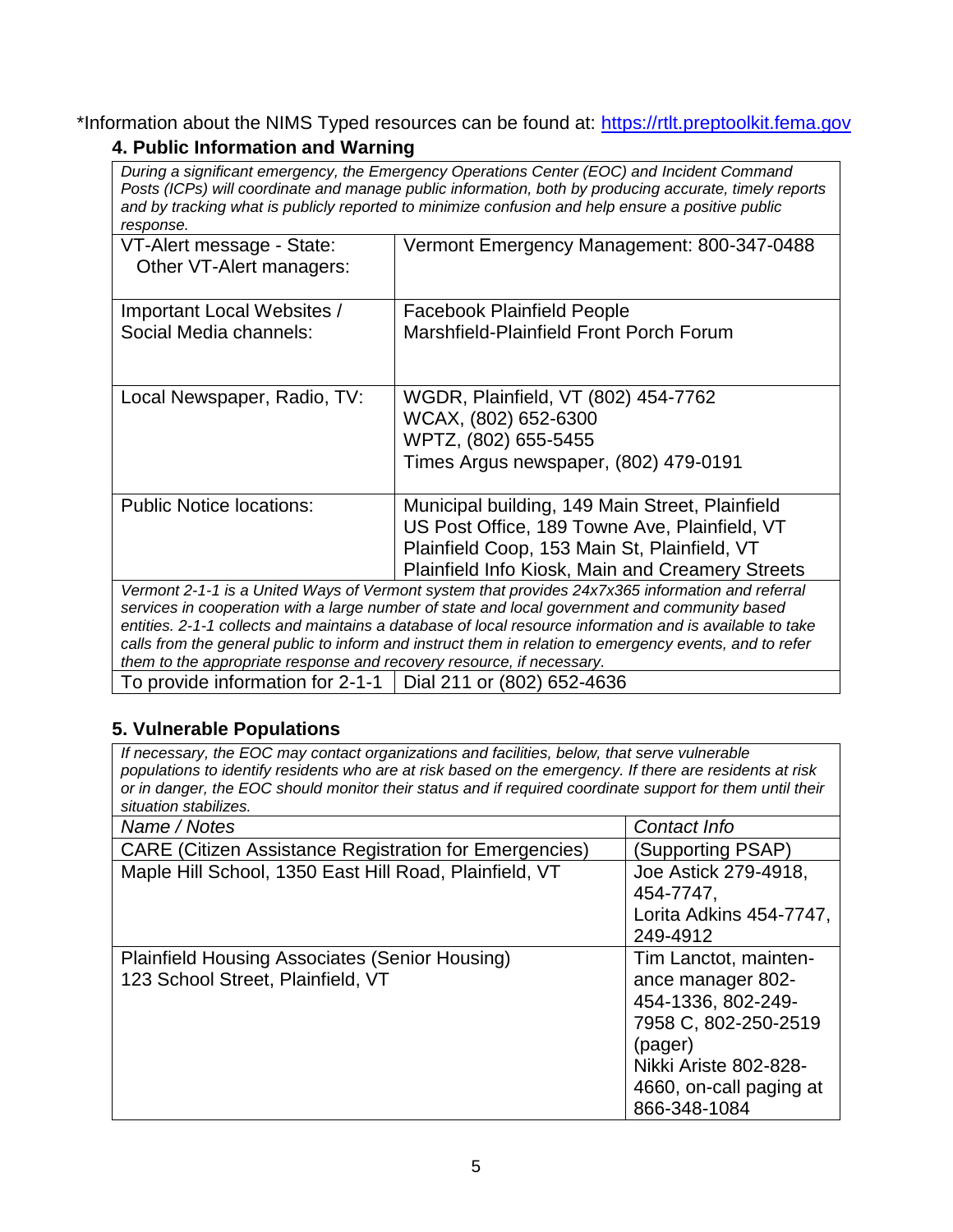\*Information about the NIMS Typed resources can be found at: [https://rtlt.preptoolkit.fema.gov](https://rtlt.preptoolkit.fema.gov/) **4. Public Information and Warning**

*During a significant emergency, the Emergency Operations Center (EOC) and Incident Command Posts (ICPs) will coordinate and manage public information, both by producing accurate, timely reports and by tracking what is publicly reported to minimize confusion and help ensure a positive public response.*

| VT-Alert message - State:<br>Other VT-Alert managers:                                            | Vermont Emergency Management: 800-347-0488              |  |  |  |
|--------------------------------------------------------------------------------------------------|---------------------------------------------------------|--|--|--|
| Important Local Websites /                                                                       | <b>Facebook Plainfield People</b>                       |  |  |  |
| Social Media channels:                                                                           | Marshfield-Plainfield Front Porch Forum                 |  |  |  |
|                                                                                                  |                                                         |  |  |  |
| Local Newspaper, Radio, TV:                                                                      | WGDR, Plainfield, VT (802) 454-7762                     |  |  |  |
|                                                                                                  | WCAX, (802) 652-6300                                    |  |  |  |
|                                                                                                  | WPTZ, (802) 655-5455                                    |  |  |  |
|                                                                                                  | Times Argus newspaper, (802) 479-0191                   |  |  |  |
|                                                                                                  |                                                         |  |  |  |
| <b>Public Notice locations:</b>                                                                  | Municipal building, 149 Main Street, Plainfield         |  |  |  |
|                                                                                                  | US Post Office, 189 Towne Ave, Plainfield, VT           |  |  |  |
|                                                                                                  | Plainfield Coop, 153 Main St, Plainfield, VT            |  |  |  |
|                                                                                                  | <b>Plainfield Info Kiosk, Main and Creamery Streets</b> |  |  |  |
| Vermont 2-1-1 is a United Ways of Vermont system that provides 24x7x365 information and referral |                                                         |  |  |  |

*services in cooperation with a large number of state and local government and community based entities. 2-1-1 collects and maintains a database of local resource information and is available to take calls from the general public to inform and instruct them in relation to emergency events, and to refer them to the appropriate response and recovery resource, if necessary.*

To provide information for 2-1-1  $\vert$  Dial 211 or (802) 652-4636

## **5. Vulnerable Populations**

*If necessary, the EOC may contact organizations and facilities, below, that serve vulnerable populations to identify residents who are at risk based on the emergency. If there are residents at risk or in danger, the EOC should monitor their status and if required coordinate support for them until their situation stabilizes.*

| Name / Notes                                                  | Contact Info            |
|---------------------------------------------------------------|-------------------------|
| <b>CARE (Citizen Assistance Registration for Emergencies)</b> | (Supporting PSAP)       |
| Maple Hill School, 1350 East Hill Road, Plainfield, VT        | Joe Astick 279-4918,    |
|                                                               | 454-7747.               |
|                                                               | Lorita Adkins 454-7747, |
|                                                               | 249-4912                |
| Plainfield Housing Associates (Senior Housing)                | Tim Lanctot, mainten-   |
| 123 School Street, Plainfield, VT                             | ance manager 802-       |
|                                                               | 454-1336, 802-249-      |
|                                                               | 7958 C, 802-250-2519    |
|                                                               | (pager)                 |
|                                                               | Nikki Ariste 802-828-   |
|                                                               | 4660, on-call paging at |
|                                                               | 866-348-1084            |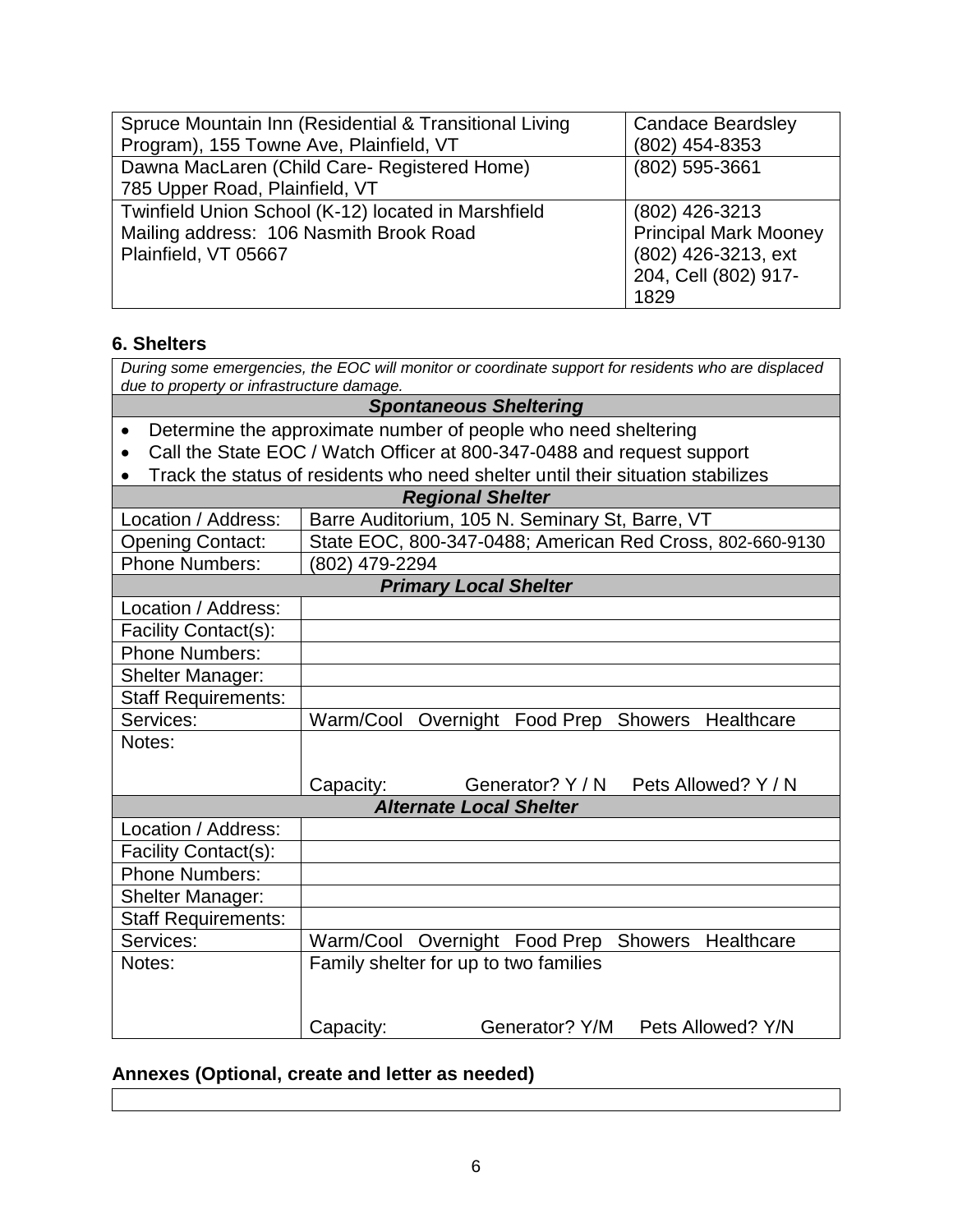| Spruce Mountain Inn (Residential & Transitional Living | <b>Candace Beardsley</b>     |
|--------------------------------------------------------|------------------------------|
| Program), 155 Towne Ave, Plainfield, VT                | (802) 454-8353               |
| Dawna MacLaren (Child Care- Registered Home)           | (802) 595-3661               |
| 785 Upper Road, Plainfield, VT                         |                              |
| Twinfield Union School (K-12) located in Marshfield    | (802) 426-3213               |
| Mailing address: 106 Nasmith Brook Road                | <b>Principal Mark Mooney</b> |
| Plainfield, VT 05667                                   | (802) 426-3213, ext          |
|                                                        | 204, Cell (802) 917-         |
|                                                        | 1829                         |

## **6. Shelters**

*During some emergencies, the EOC will monitor or coordinate support for residents who are displaced due to property or infrastructure damage.*

*Spontaneous Sheltering*

- Determine the approximate number of people who need sheltering
- Call the State EOC / Watch Officer at 800-347-0488 and request support
- Track the status of residents who need shelter until their situation stabilizes

| <b>Regional Shelter</b>      |                                                           |                                |                                                     |  |  |  |  |
|------------------------------|-----------------------------------------------------------|--------------------------------|-----------------------------------------------------|--|--|--|--|
| Location / Address:          |                                                           |                                | Barre Auditorium, 105 N. Seminary St, Barre, VT     |  |  |  |  |
| <b>Opening Contact:</b>      | State EOC, 800-347-0488; American Red Cross, 802-660-9130 |                                |                                                     |  |  |  |  |
| <b>Phone Numbers:</b>        | 802) 479-2294                                             |                                |                                                     |  |  |  |  |
| <b>Primary Local Shelter</b> |                                                           |                                |                                                     |  |  |  |  |
| Location / Address:          |                                                           |                                |                                                     |  |  |  |  |
| Facility Contact(s):         |                                                           |                                |                                                     |  |  |  |  |
| <b>Phone Numbers:</b>        |                                                           |                                |                                                     |  |  |  |  |
| <b>Shelter Manager:</b>      |                                                           |                                |                                                     |  |  |  |  |
| <b>Staff Requirements:</b>   |                                                           |                                |                                                     |  |  |  |  |
| Services:                    | Warm/Cool                                                 |                                | Overnight Food Prep Showers Healthcare              |  |  |  |  |
| Notes:                       |                                                           |                                |                                                     |  |  |  |  |
|                              |                                                           |                                |                                                     |  |  |  |  |
|                              | Capacity:                                                 |                                | Generator? Y / N Pets Allowed? Y / N                |  |  |  |  |
|                              |                                                           |                                |                                                     |  |  |  |  |
|                              |                                                           | <b>Alternate Local Shelter</b> |                                                     |  |  |  |  |
| Location / Address:          |                                                           |                                |                                                     |  |  |  |  |
| Facility Contact(s):         |                                                           |                                |                                                     |  |  |  |  |
| <b>Phone Numbers:</b>        |                                                           |                                |                                                     |  |  |  |  |
| <b>Shelter Manager:</b>      |                                                           |                                |                                                     |  |  |  |  |
| <b>Staff Requirements:</b>   |                                                           |                                |                                                     |  |  |  |  |
| Services:                    |                                                           |                                | Warm/Cool Overnight Food Prep<br>Showers Healthcare |  |  |  |  |
| Notes:                       | Family shelter for up to two families                     |                                |                                                     |  |  |  |  |
|                              |                                                           |                                |                                                     |  |  |  |  |
|                              |                                                           |                                | Generator? Y/M Pets Allowed? Y/N                    |  |  |  |  |

## **Annexes (Optional, create and letter as needed)**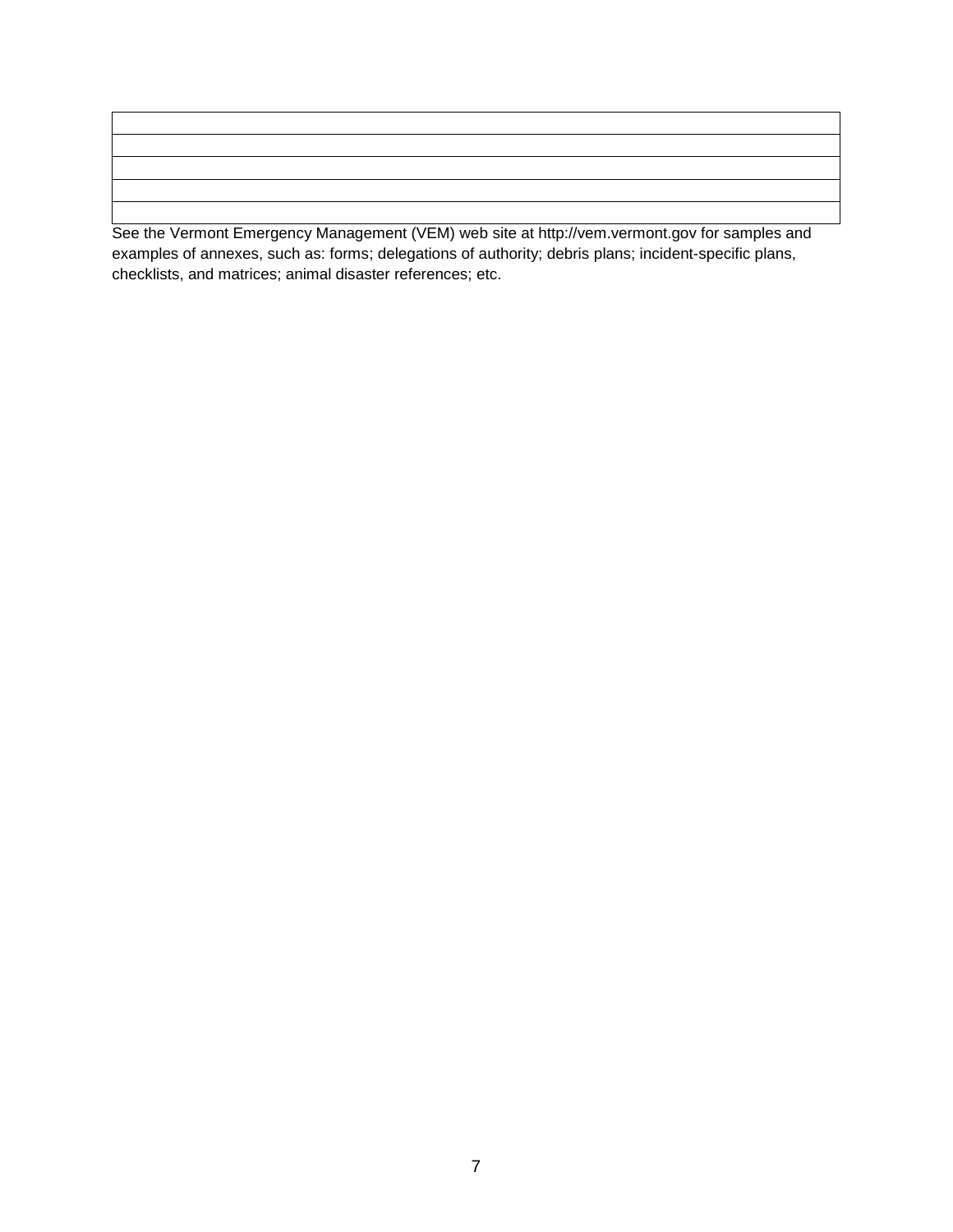See the Vermont Emergency Management (VEM) web site at http://vem.vermont.gov for samples and examples of annexes, such as: forms; delegations of authority; debris plans; incident-specific plans, checklists, and matrices; animal disaster references; etc.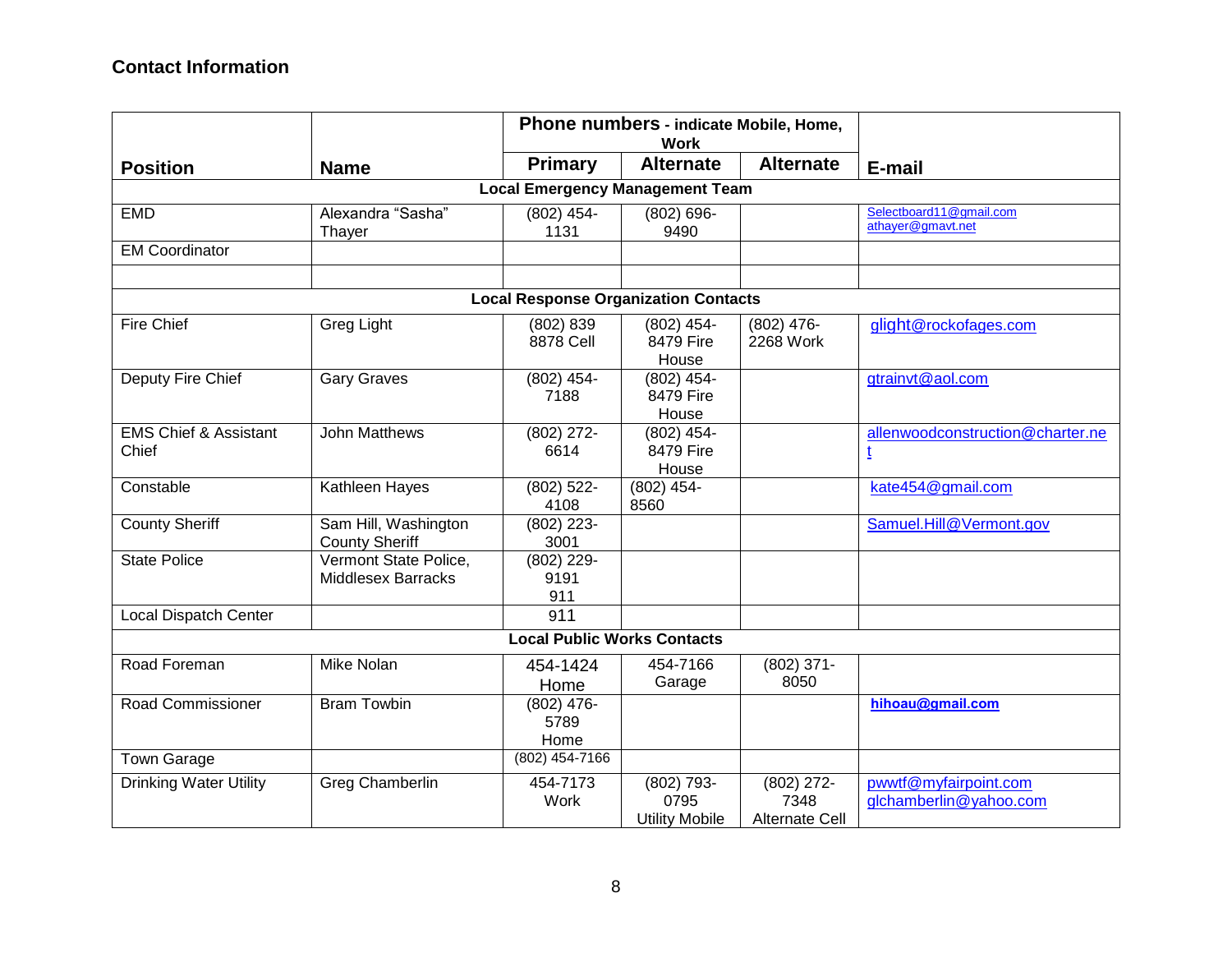|                                           | Phone numbers - indicate Mobile, Home,<br><b>Work</b> |                                             |                                             |                                               |                                                 |  |  |  |  |
|-------------------------------------------|-------------------------------------------------------|---------------------------------------------|---------------------------------------------|-----------------------------------------------|-------------------------------------------------|--|--|--|--|
| <b>Position</b>                           | <b>Name</b>                                           | <b>Primary</b>                              | <b>Alternate</b>                            | <b>Alternate</b>                              | E-mail                                          |  |  |  |  |
| <b>Local Emergency Management Team</b>    |                                                       |                                             |                                             |                                               |                                                 |  |  |  |  |
| <b>EMD</b>                                | Alexandra "Sasha"<br>Thayer                           | $(802)$ 454-<br>1131                        | $(802) 696 -$<br>9490                       |                                               | Selectboard11@gmail.com<br>athayer@gmavt.net    |  |  |  |  |
| <b>EM Coordinator</b>                     |                                                       |                                             |                                             |                                               |                                                 |  |  |  |  |
|                                           |                                                       |                                             |                                             |                                               |                                                 |  |  |  |  |
|                                           |                                                       | <b>Local Response Organization Contacts</b> |                                             |                                               |                                                 |  |  |  |  |
| Fire Chief                                | Greg Light                                            | (802) 839<br>8878 Cell                      | $(802)$ 454-<br>8479 Fire<br>House          | $(802)$ 476-<br>2268 Work                     | glight@rockofages.com                           |  |  |  |  |
| Deputy Fire Chief                         | <b>Gary Graves</b>                                    | $(802)$ 454-<br>7188                        | $(802)$ 454-<br>8479 Fire<br>House          |                                               | gtrainvt@aol.com                                |  |  |  |  |
| <b>EMS Chief &amp; Assistant</b><br>Chief | <b>John Matthews</b>                                  | $(802)$ 272-<br>6614                        | $(802)$ 454-<br>8479 Fire<br>House          |                                               | allenwoodconstruction@charter.ne<br>ţ           |  |  |  |  |
| Constable                                 | Kathleen Hayes                                        | $(802)$ 522-<br>4108                        | (802) 454-<br>8560                          |                                               | kate454@gmail.com                               |  |  |  |  |
| <b>County Sheriff</b>                     | Sam Hill, Washington<br><b>County Sheriff</b>         | $(802)$ 223-<br>3001                        |                                             |                                               | Samuel.Hill@Vermont.gov                         |  |  |  |  |
| <b>State Police</b>                       | Vermont State Police,<br><b>Middlesex Barracks</b>    | $(802)$ 229-<br>9191<br>911                 |                                             |                                               |                                                 |  |  |  |  |
| <b>Local Dispatch Center</b>              |                                                       | 911                                         |                                             |                                               |                                                 |  |  |  |  |
|                                           |                                                       | <b>Local Public Works Contacts</b>          |                                             |                                               |                                                 |  |  |  |  |
| Road Foreman                              | Mike Nolan                                            | 454-1424<br>Home                            | 454-7166<br>Garage                          | $(802)$ 371-<br>8050                          |                                                 |  |  |  |  |
| Road Commissioner                         | <b>Bram Towbin</b>                                    | $(802)$ 476-<br>5789<br>Home                |                                             |                                               | hihoau@gmail.com                                |  |  |  |  |
| Town Garage                               |                                                       | (802) 454-7166                              |                                             |                                               |                                                 |  |  |  |  |
| Drinking Water Utility                    | Greg Chamberlin                                       | 454-7173<br>Work                            | (802) 793-<br>0795<br><b>Utility Mobile</b> | $(802)$ 272-<br>7348<br><b>Alternate Cell</b> | pwwtf@myfairpoint.com<br>glchamberlin@yahoo.com |  |  |  |  |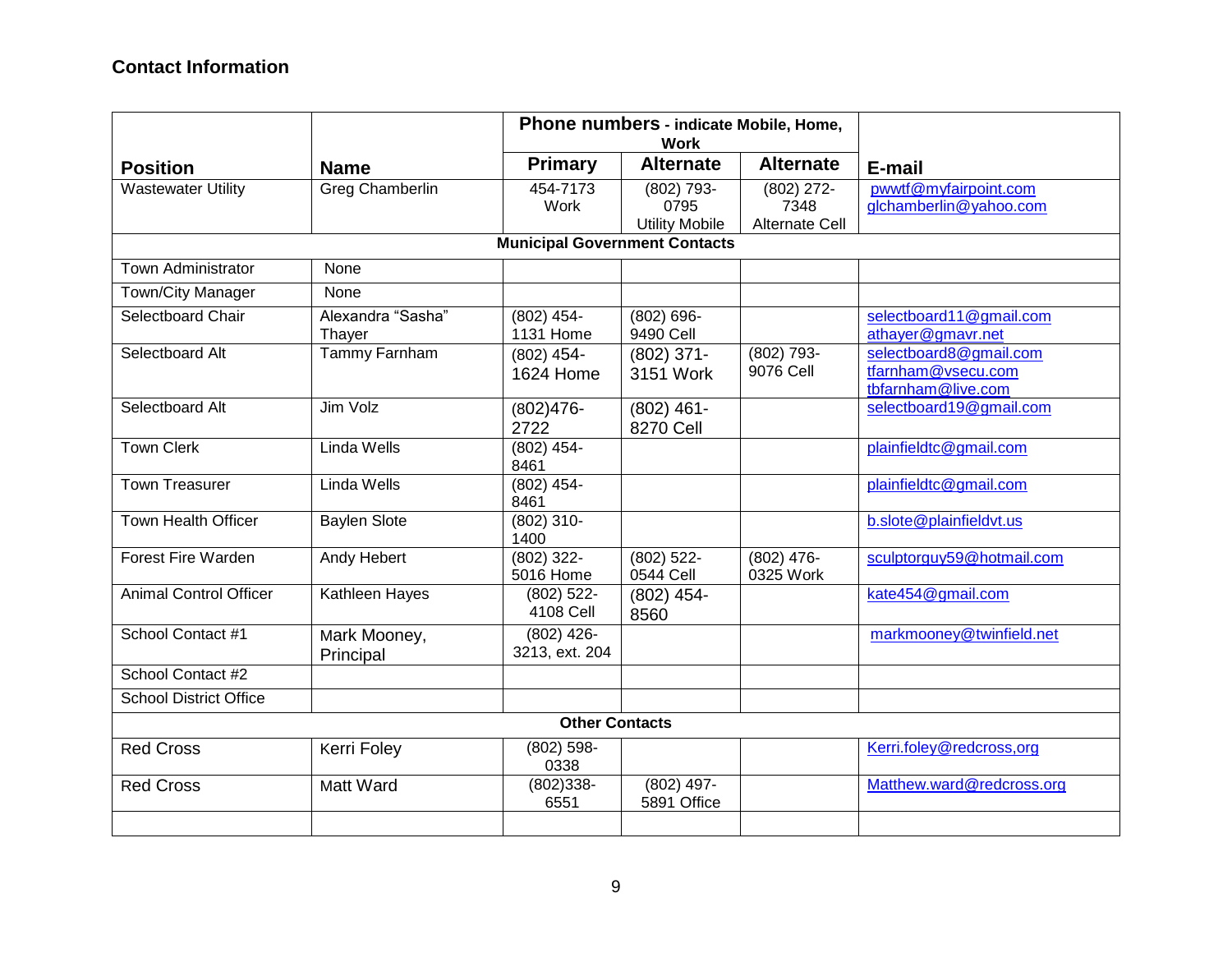# **Contact Information**

|                               | Phone numbers - indicate Mobile, Home,<br><b>Work</b> |                                      |                                             |                                               |                                                                    |  |  |
|-------------------------------|-------------------------------------------------------|--------------------------------------|---------------------------------------------|-----------------------------------------------|--------------------------------------------------------------------|--|--|
| <b>Position</b>               | <b>Name</b>                                           | <b>Primary</b>                       | <b>Alternate</b>                            | <b>Alternate</b>                              | E-mail                                                             |  |  |
| <b>Wastewater Utility</b>     | <b>Greg Chamberlin</b>                                | 454-7173<br>Work                     | (802) 793-<br>0795<br><b>Utility Mobile</b> | $(802)$ 272-<br>7348<br><b>Alternate Cell</b> | pwwtf@myfairpoint.com<br>glchamberlin@yahoo.com                    |  |  |
|                               |                                                       | <b>Municipal Government Contacts</b> |                                             |                                               |                                                                    |  |  |
| Town Administrator            | None                                                  |                                      |                                             |                                               |                                                                    |  |  |
| Town/City Manager             | None                                                  |                                      |                                             |                                               |                                                                    |  |  |
| Selectboard Chair             | Alexandra "Sasha"<br>Thayer                           | $(802)$ 454-<br>1131 Home            | $(802) 696 -$<br>9490 Cell                  |                                               | selectboard11@gmail.com<br>athayer@gmavr.net                       |  |  |
| Selectboard Alt               | <b>Tammy Farnham</b>                                  | $(802)$ 454-<br>1624 Home            | $(802)$ 371-<br>3151 Work                   | (802) 793-<br>9076 Cell                       | selectboard8@gmail.com<br>tfarnham@vsecu.com<br>tbfarnham@live.com |  |  |
| Selectboard Alt               | Jim Volz                                              | $(802)476-$<br>2722                  | $(802)$ 461-<br>8270 Cell                   |                                               | selectboard19@gmail.com                                            |  |  |
| <b>Town Clerk</b>             | Linda Wells                                           | $(802)$ 454-<br>8461                 |                                             |                                               | plainfieldtc@gmail.com                                             |  |  |
| <b>Town Treasurer</b>         | <b>Linda Wells</b>                                    | $(802)$ 454-<br>8461                 |                                             |                                               | plainfieldtc@gmail.com                                             |  |  |
| <b>Town Health Officer</b>    | <b>Baylen Slote</b>                                   | $(802)$ 310-<br>1400                 |                                             |                                               | b.slote@plainfieldvt.us                                            |  |  |
| Forest Fire Warden            | Andy Hebert                                           | $(802)$ 322-<br>5016 Home            | $(802)$ 522-<br>0544 Cell                   | $(802)$ 476-<br>0325 Work                     | sculptorguy59@hotmail.com                                          |  |  |
| <b>Animal Control Officer</b> | Kathleen Hayes                                        | $(802)$ 522-<br>4108 Cell            | $(802)$ 454-<br>8560                        |                                               | kate454@gmail.com                                                  |  |  |
| School Contact #1             | Mark Mooney,<br>Principal                             | $(802)$ 426-<br>3213, ext. 204       |                                             |                                               | markmooney@twinfield.net                                           |  |  |
| School Contact #2             |                                                       |                                      |                                             |                                               |                                                                    |  |  |
| <b>School District Office</b> |                                                       |                                      |                                             |                                               |                                                                    |  |  |
|                               |                                                       | <b>Other Contacts</b>                |                                             |                                               |                                                                    |  |  |
| <b>Red Cross</b>              | Kerri Foley                                           | $(802)$ 598-<br>0338                 |                                             |                                               | Kerri.foley@redcross,org                                           |  |  |
| <b>Red Cross</b>              | Matt Ward                                             | $(802)338 -$<br>6551                 | $(802)$ 497-<br>5891 Office                 |                                               | Matthew.ward@redcross.org                                          |  |  |
|                               |                                                       |                                      |                                             |                                               |                                                                    |  |  |